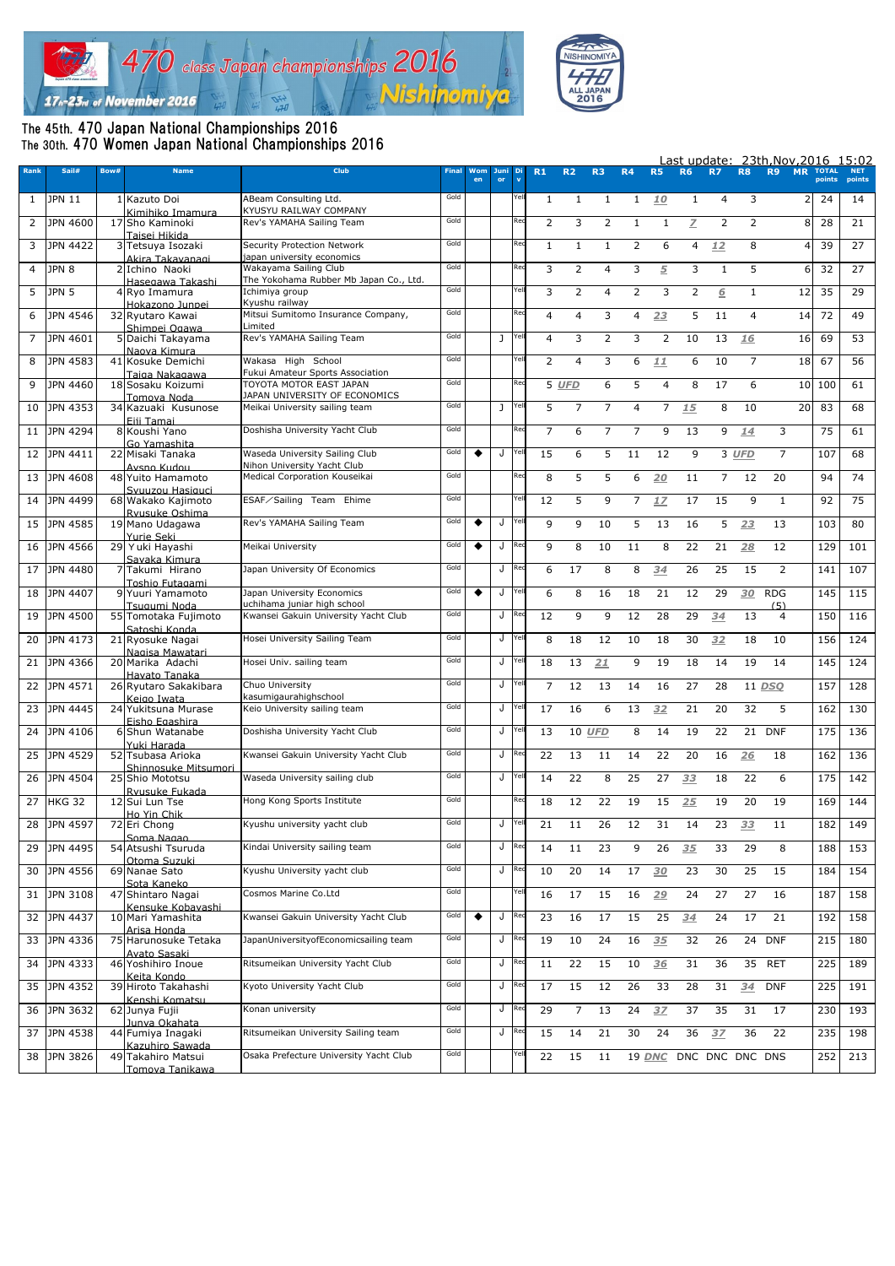



## The 45th. 470 Japan National Championships 2016 The 30th. 470 Women Japan National Championships 2016

|                |                 |      |                                         |                                                                     | Last update: 23th, Nov, 2016 15:02 |           |              |       |                |                |                |                |                |              |                 |                |                       |                |                        |                      |
|----------------|-----------------|------|-----------------------------------------|---------------------------------------------------------------------|------------------------------------|-----------|--------------|-------|----------------|----------------|----------------|----------------|----------------|--------------|-----------------|----------------|-----------------------|----------------|------------------------|----------------------|
| <b>Rank</b>    | Sail#           | Bow# | <b>Name</b>                             | <b>Club</b>                                                         | <b>Final</b>                       | Wom<br>en | Juni<br>or   |       | R <sub>1</sub> | R <sub>2</sub> | R3             | <b>R4</b>      | <b>R5</b>      | <b>R6</b>    | <b>R7</b>       | <b>R8</b>      | <b>R9</b>             | <b>MR</b>      | <b>TOTAL</b><br>points | <b>NET</b><br>points |
| $\mathbf{1}$   | <b>JPN 11</b>   |      | 1 Kazuto Doi<br>Kimihiko Imamura        | ABeam Consulting Ltd.<br>KYUSYU RAILWAY COMPANY                     | Gold                               |           |              | Yell  | $\mathbf{1}$   | $\mathbf{1}$   | 1              | 1              | 10             | 1            | 4               | 3              |                       | $\overline{2}$ | -24                    | 14                   |
| $\overline{2}$ | JPN 4600        |      | 17 Sho Kaminoki<br>Taisei Hikida        | Rev's YAMAHA Sailing Team                                           | Gold                               |           |              | Red   | 2              | 3              | $\overline{2}$ | 1              |                | Z            | $\overline{2}$  | 2              |                       | 8              | 28                     | 21                   |
| 3              | <b>JPN 4422</b> |      | 3 Tetsuya Isozaki                       | Security Protection Network<br>japan university economics           | Gold                               |           |              | Red   | 1              | 1.             | -1             | 2              | 6              | 4            | 12              | 8              |                       |                | 39                     | 27                   |
| 4              | JPN 8           |      | Akira Takavanagi<br>2 Ichino Naoki      | Wakayama Sailing Club                                               | Gold                               |           |              | Rec   | 3              | $\overline{2}$ | 4              | 3              | $\overline{5}$ | 3            |                 | 5              |                       | 6              | 32                     | 27                   |
| 5              | JPN 5           |      | Hasegawa Takashi<br>4 Ryo Imamura       | The Yokohama Rubber Mb Japan Co., Ltd.<br>Ichimiya group            | Gold                               |           |              | Yel   | 3              | 2              | 4              | $\overline{2}$ | 3              | $\mathbf{2}$ | 6               | $\mathbf{1}$   |                       | 12             | 35                     | 29                   |
| 6              | JPN 4546        |      | Hokazono Junnei<br>32 Ryutaro Kawai     | Kyushu railway<br>Mitsui Sumitomo Insurance Company,                | Gold                               |           |              | Red   | 4              | 4              | 3              | 4              | 23             | 5            | 11              | $\overline{4}$ |                       | 14             | 72                     | 49                   |
| $\overline{7}$ | JPN 4601        |      | Shimnei Ogawa<br>5 Daichi Takayama      | Limited<br>Rev's YAMAHA Sailing Team                                | Gold                               |           | $\mathbf{I}$ | Yell  | 4              | 3              | 2              | 3              | $\overline{2}$ | 10           | 13              | 16             |                       | 16             | 69                     | 53                   |
| 8              | JPN 4583        |      | Naova Kimura<br>41 Kosuke Demichi       | Wakasa High School                                                  | Gold                               |           |              | Yel   | $\overline{2}$ | 4              | 3              | 6              | 11             | 6            | 10              | 7              |                       | 18             | 67                     | 56                   |
|                |                 |      | Taiga Nakagawa                          | Fukui Amateur Sports Association                                    |                                    |           |              |       |                |                |                |                |                |              |                 |                |                       |                |                        |                      |
| 9              | JPN 4460        |      | 18 Sosaku Koizumi                       | TOYOTA MOTOR EAST JAPAN                                             | Gold                               |           |              | Rec   |                | 5 UFD          | 6              | 5              | 4              | 8            | 17              | 6              |                       | 10 100         |                        | 61                   |
| 10             | JPN 4353        |      | Tomova Noda<br>34 Kazuaki Kusunose      | JAPAN UNIVERSITY OF ECONOMICS<br>Meikai University sailing team     | Gold                               |           | $\mathbf{I}$ | Yel   | 5              | $\overline{7}$ | $\overline{7}$ | 4              | $\overline{7}$ | 15           | 8               | 10             |                       | 20             | 83                     | 68                   |
| 11             | JPN 4294        |      | Fiji Tamai<br>8 Koushi Yano             | Doshisha University Yacht Club                                      | Gold                               |           |              |       | $\overline{7}$ | 6              | 7              | 7              | 9              | 13           | 9               | 14             | 3                     |                | 75                     | 61                   |
|                |                 |      | Go Yamashita                            |                                                                     | Gold                               |           |              | Yel   |                |                |                |                |                |              |                 |                |                       |                |                        |                      |
| 12             | JPN 4411        |      | 22 Misaki Tanaka<br>Avsno Kudou         | Waseda University Sailing Club<br>Nihon University Yacht Club       |                                    |           | J            |       | 15             | 6              | 5              | 11             | 12             | 9            |                 | 3 UFD          | $\overline{7}$        |                | 107                    | 68                   |
| 13             | <b>JPN 4608</b> |      | 48 Yuito Hamamoto                       | Medical Corporation Kouseikai                                       | Gold                               |           |              |       | 8              | 5              | 5              | 6              | 20             | 11           | $7^{\circ}$     | 12             | 20                    |                | 94                     | 74                   |
| 14             | JPN 4499        |      | Syuuzou Hasiquci<br>68 Wakako Kajimoto  | ESAF/Sailing Team Ehime                                             | Gold                               |           |              | Ye    | 12             | 5              | 9              | 7              | 17             | 17           | 15              | 9              | 1                     |                | 92                     | 75                   |
| 15             | <b>JPN 4585</b> |      | Rvusuke Oshima<br>19 Mano Udagawa       | Rev's YAMAHA Sailing Team                                           | Gold                               | ◆         | J            | Yell  | 9              | 9              | 10             | 5              | 13             | 16           | 5               | 23             | 13                    |                | 103                    | 80                   |
| 16             | JPN 4566        |      | Yurie Seki<br>29 Yuki Hayashi           | Meikai University                                                   | Gold                               |           | J            |       | 9              | 8              | 10             | 11             | 8              | 22           | 21              | 28             | 12                    |                | 129                    | 101                  |
| 17             | JPN 4480        |      | Savaka Kimura<br>7 Takumi Hirano        | Japan University Of Economics                                       | Gold                               |           | J            | Rec   | 6              | 17             | 8              | 8              | 34             | 26           | 25              | 15             | 2                     |                | 141                    | 107                  |
| 18             | JPN 4407        |      | Toshio Futagami<br>9 Yuuri Yamamoto     | Japan University Economics                                          | Gold                               | ٠         | J            |       | 6              | 8              | 16             | 18             | 21             | 12           | 29              | 30             | <b>RDG</b>            |                | 145                    | 115                  |
| 19             | <b>JPN 4500</b> |      | Tsugumi Noda<br>55 Tomotaka Fujimoto    | uchihama juniar high school<br>Kwansei Gakuin University Yacht Club | Gold                               |           | J            |       | 12             | 9              | 9              | 12             | 28             | 29           | 34              | 13             | (5)<br>$\overline{4}$ |                | 150                    | 116                  |
| 20             | JPN 4173        |      | Satoshi Konda<br>21 Ryosuke Nagai       | Hosei University Sailing Team                                       | Gold                               |           | J            | Yell  | 8              | 18             | 12             | 10             | 18             | 30           | 32              | 18             | 10                    |                | 156                    | 124                  |
| 21             | JPN 4366        |      | Nagisa Mawatari<br>20 Marika Adachi     | Hosei Univ. sailing team                                            | Gold                               |           | J            |       | 18             | 13             | 21             | 9              | 19             | 18           | 14              | 19             | 14                    |                | 145                    | 124                  |
|                | JPN 4571        |      | Havato Tanaka                           | Chuo University                                                     | Gold                               |           | J            | Yel   | $\overline{7}$ | 12             | 13             |                |                | 27           |                 |                |                       |                | 157                    | 128                  |
| 22             |                 |      | 26 Ryutaro Sakakibara<br>Keigo Iwata    | kasumigaurahighschool                                               |                                    |           |              |       |                |                |                | 14             | 16             |              | 28              |                | 11 DSO                |                |                        |                      |
| 23             | JPN 4445        |      | 24 Yukitsuna Murase<br>Fisho Fgashira   | Keio University sailing team                                        | Gold                               |           | J            | Yell  | 17             | 16             | 6              | 13             | 32             | 21           | 20              | 32             | 5                     |                | 162                    | 130                  |
| 24             | JPN 4106        |      | 6 Shun Watanabe                         | Doshisha University Yacht Club                                      | Gold                               |           | J            |       | 13             | 10 UFD         |                | 8              | 14             | 19           | 22              |                | 21 DNF                |                | 175                    | 136                  |
| 25             | JPN 4529        |      | Yuki Harada<br>52 Tsubasa Arioka        | Kwansei Gakuin University Yacht Club                                | Gold                               |           | J            |       | 22             | 13             | 11             | 14             | 22             | 20           | 16              | 26             | 18                    |                | 162                    | 136                  |
| 26             | JPN 4504        |      | Shinnosuke Mitsumori<br>25 Shio Mototsu | Waseda University sailing club                                      | Gold                               |           | J            | Yel   | 14             | 22             | 8              | 25             | 27             | 33           | 18              | 22             | 6                     |                | 175                    | 142                  |
| 27             | <b>HKG 32</b>   |      | Rvusuke Fukada<br>12 Sui Lun Tse        | Hong Kong Sports Institute                                          | Gold                               |           |              |       | 18             | 12             | 22             | 19             | 15             | 25           | 19              | 20             | 19                    |                | 169                    | 144                  |
| 28             | JPN 4597        |      | Ho Yin Chik<br>72 Eri Chong             | Kyushu university yacht club                                        | Gold                               |           |              | J Yel | 21             | 11             | 26             | 12             | 31             | 14           | 23              | 33             | 11                    |                | 182                    | 149                  |
| 29             | JPN 4495        |      | Soma Nagao<br>54 Atsushi Tsuruda        | Kindai University sailing team                                      | Gold                               |           | J            |       | 14             | 11             | 23             | 9              | 26             | 35           | 33              | 29             | 8                     |                | 188                    | 153                  |
| 30             | JPN 4556        |      | Otoma Suzuki<br>69 Nanae Sato           | Kyushu University yacht club                                        | Gold                               |           | J            |       | 10             | 20             | 14             | 17             | 30             | 23           | 30              | 25             | 15                    |                | 184                    | 154                  |
| 31             | JPN 3108        |      | Sota Kaneko<br>47 Shintaro Nagai        | Cosmos Marine Co.Ltd                                                | Gold                               |           |              | Yel   | 16             | 17             | 15             | 16             | 29             | 24           | 27              | 27             | 16                    |                | 187                    | 158                  |
| 32             | JPN 4437        |      | Kensuke Kobavashi<br>10 Mari Yamashita  | Kwansei Gakuin University Yacht Club                                | Gold                               |           | J            |       | 23             | 16             | 17             | 15             | 25             | 34           | 24              | 17             | 21                    |                | 192                    | 158                  |
| 33             | JPN 4336        |      | Arisa Honda<br>75 Harunosuke Tetaka     | JapanUniversityofEconomicsailing team                               | Gold                               |           | J            |       | 19             | 10             | 24             | 16             | 35             | 32           | 26              |                | 24 DNF                |                | 215                    | 180                  |
| 34             | JPN 4333        |      | Avato Sasaki<br>46 Yoshihiro Inoue      | Ritsumeikan University Yacht Club                                   | Gold                               |           | J            | Rec   | 11             | 22             | 15             | 10             | 36             | 31           | 36              | 35             | <b>RET</b>            |                | 225                    | 189                  |
| 35             | JPN 4352        |      | Keita Kondo<br>39 Hiroto Takahashi      | Kyoto University Yacht Club                                         | Gold                               |           | J            |       | 17             | 15             | 12             | 26             | 33             | 28           | 31              | 34             | <b>DNF</b>            |                | 225                    | 191                  |
| 36             | JPN 3632        |      | Kenshi Komatsu<br>62 Junya Fujii        | Konan university                                                    | Gold                               |           | J            | Rec   | 29             | $\overline{7}$ | 13             | 24             | 3Z             | 37           | 35              | 31             | 17                    |                | 230                    | 193                  |
| 37             | JPN 4538        |      | Junya Okahata<br>44 Fumiya Inagaki      | Ritsumeikan University Sailing team                                 | Gold                               |           | J            |       | 15             | 14             | 21             | 30             | 24             | 36           | 3Z              | 36             | 22                    |                | 235                    | 198                  |
|                |                 |      | Kazuhiro Sawada<br>49 Takahiro Matsui   | Osaka Prefecture University Yacht Club                              | Gold                               |           |              |       |                |                |                |                |                |              | DNC DNC DNC DNS |                |                       |                |                        |                      |
| 38             | JPN 3826        |      | Tomova Tanikawa                         |                                                                     |                                    |           |              |       | 22             | 15             | 11             |                | 19 DNC         |              |                 |                |                       |                | 252                    | 213                  |